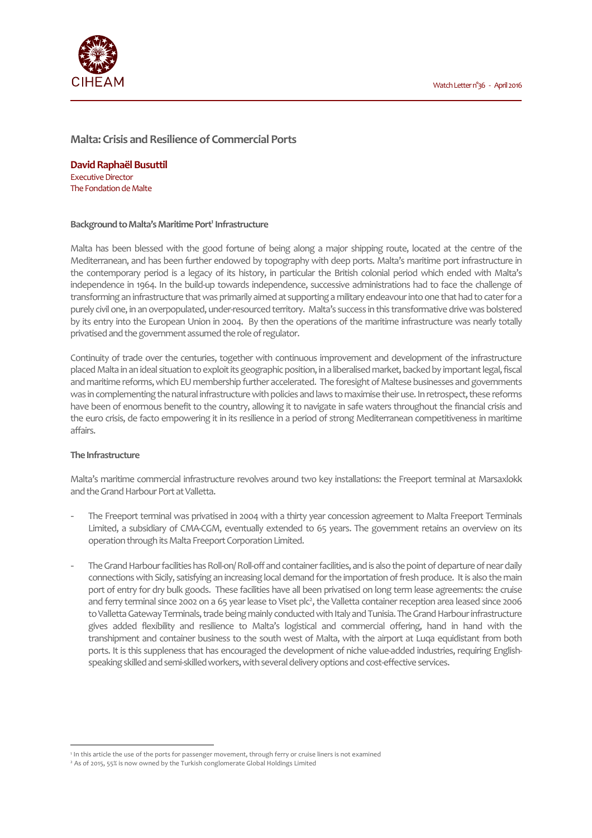

# **Malta: Crisis and Resilience of Commercial Ports**

**David Raphaël Busuttil**  Executive Director The Fondation de Malte

#### **Background to Malta's Maritime Port<sup>1</sup> Infrastructure**

Malta has been blessed with the good fortune of being along a major shipping route, located at the centre of the Mediterranean, and has been further endowed by topography with deep ports. Malta's maritime port infrastructure in the contemporary period is a legacy of its history, in particular the British colonial period which ended with Malta's independence in 1964. In the build-up towards independence, successive administrations had to face the challenge of transforming an infrastructure that was primarily aimed at supporting a military endeavour into one that had to cater for a purely civil one, in an overpopulated, under-resourced territory. Malta's success in this transformative drive was bolstered by its entry into the European Union in 2004. By then the operations of the maritime infrastructure was nearly totally privatised and the government assumed the role of regulator.

Continuity of trade over the centuries, together with continuous improvement and development of the infrastructure placed Malta in an ideal situation to exploit its geographic position, in a liberalised market, backed by important legal, fiscal and maritime reforms, which EU membership further accelerated. The foresight of Maltese businesses and governments was in complementing the natural infrastructure with policies and laws to maximise their use. In retrospect, these reforms have been of enormous benefit to the country, allowing it to navigate in safe waters throughout the financial crisis and the euro crisis, de facto empowering it in its resilience in a period of strong Mediterranean competitiveness in maritime affairs.

### **The Infrastructure**

l

Malta's maritime commercial infrastructure revolves around two key installations: the Freeport terminal at Marsaxlokk and the Grand Harbour Port at Valletta.

- The Freeport terminal was privatised in 2004 with a thirty year concession agreement to Malta Freeport Terminals Limited, a subsidiary of CMA-CGM, eventually extended to 65 years. The government retains an overview on its operation through its Malta Freeport Corporation Limited.
- The Grand Harbour facilities has Roll-on/ Roll-off and container facilities, and is also the point of departure of near daily connections with Sicily, satisfying an increasing local demand for the importation of fresh produce. It is also the main port of entry for dry bulk goods. These facilities have all been privatised on long term lease agreements: the cruise and ferry terminal since 2002 on a 65 year lease to Viset plc<sup>2</sup>, the Valletta container reception area leased since 2006 to Valletta Gateway Terminals, trade being mainly conducted with Italy and Tunisia. The Grand Harbour infrastructure gives added flexibility and resilience to Malta's logistical and commercial offering, hand in hand with the transhipment and container business to the south west of Malta, with the airport at Luqa equidistant from both ports. It is this suppleness that has encouraged the development of niche value-added industries, requiring Englishspeaking skilled and semi-skilled workers, with several delivery options and cost-effective services.

<sup>1</sup> In this article the use of the ports for passenger movement, through ferry or cruise liners is not examined

<sup>2</sup> As of 2015, 55% is now owned by the Turkish conglomerate Global Holdings Limited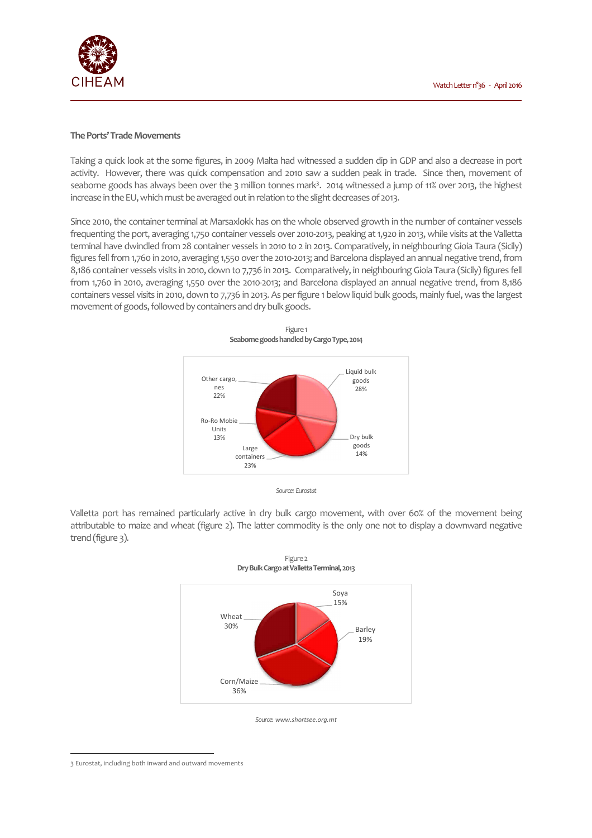

#### **The Ports' Trade Movements**

Taking a quick look at the some figures, in 2009 Malta had witnessed a sudden dip in GDP and also a decrease in port activity. However, there was quick compensation and 2010 saw a sudden peak in trade. Since then, movement of seaborne goods has always been over the 3 million tonnes mark<sup>3</sup>. 2014 witnessed a jump of 11% over 2013, the highest increase in the EU, which must be averaged out in relation to the slight decreases of 2013.

Since 2010, the container terminal at Marsaxlokk has on the whole observed growth in the number of container vessels frequenting the port, averaging 1,750 container vessels over 2010-2013, peaking at 1,920 in 2013, while visits at the Valletta terminal have dwindled from 28 container vessels in 2010 to 2 in 2013. Comparatively, in neighbouring Gioia Taura (Sicily) figures fell from 1,760 in 2010, averaging 1,550 over the 2010-2013; and Barcelona displayed an annual negative trend, from 8,186 container vessels visits in 2010, down to 7,736 in 2013. Comparatively, in neighbouring Gioia Taura (Sicily) figures fell from 1,760 in 2010, averaging 1,550 over the 2010-2013; and Barcelona displayed an annual negative trend, from 8,186 containers vessel visits in 2010, down to 7,736 in 2013. As per figure 1 below liquid bulk goods, mainly fuel, was the largest movement of goods, followed by containers and dry bulk goods.

Figure 1





Valletta port has remained particularly active in dry bulk cargo movement, with over 60% of the movement being attributable to maize and wheat (figure 2). The latter commodity is the only one not to display a downward negative trend (figure 3).





<sup>3</sup> Eurostat, including both inward and outward movements

 $\overline{\phantom{a}}$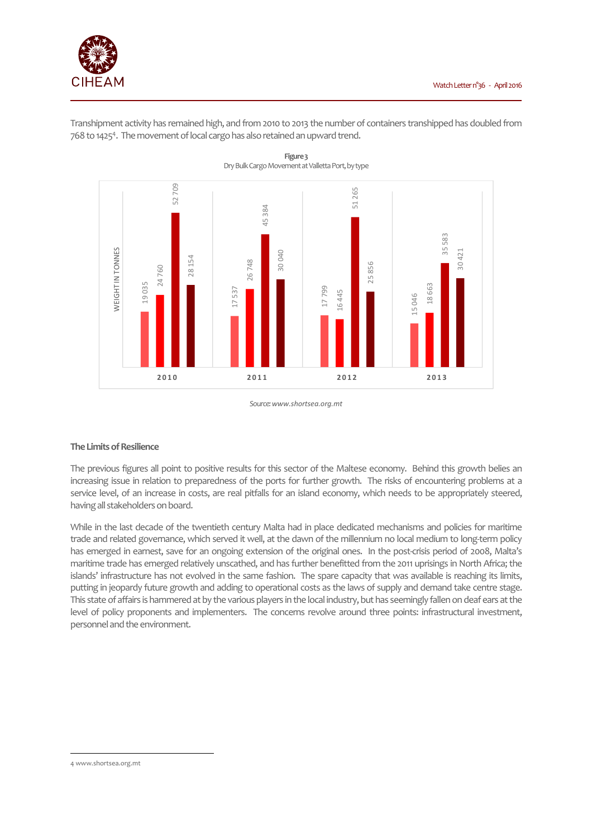

Transhipment activity has remained high, and from 2010 to 2013 the number of containers transhipped has doubled from 768 to 1425<sup>4</sup>. The movement of local cargo has also retained an upward trend.



**Figure 3**  Dry Bulk Cargo Movement at Valletta Port, by type

*Source: www.shortsea.org.mt* 

## **The Limits of Resilience**

The previous figures all point to positive results for this sector of the Maltese economy. Behind this growth belies an increasing issue in relation to preparedness of the ports for further growth. The risks of encountering problems at a service level, of an increase in costs, are real pitfalls for an island economy, which needs to be appropriately steered, having all stakeholders on board.

While in the last decade of the twentieth century Malta had in place dedicated mechanisms and policies for maritime trade and related governance, which served it well, at the dawn of the millennium no local medium to long-term policy has emerged in earnest, save for an ongoing extension of the original ones. In the post-crisis period of 2008, Malta's maritime trade has emerged relatively unscathed, and has further benefitted from the 2011 uprisings in North Africa; the islands' infrastructure has not evolved in the same fashion. The spare capacity that was available is reaching its limits, putting in jeopardy future growth and adding to operational costs as the laws of supply and demand take centre stage. This state of affairs is hammered at by the various players in the local industry, but has seemingly fallen on deaf ears at the level of policy proponents and implementers. The concerns revolve around three points: infrastructural investment, personnel and the environment.

 $\overline{\phantom{a}}$ 

<sup>4</sup> www.shortsea.org.mt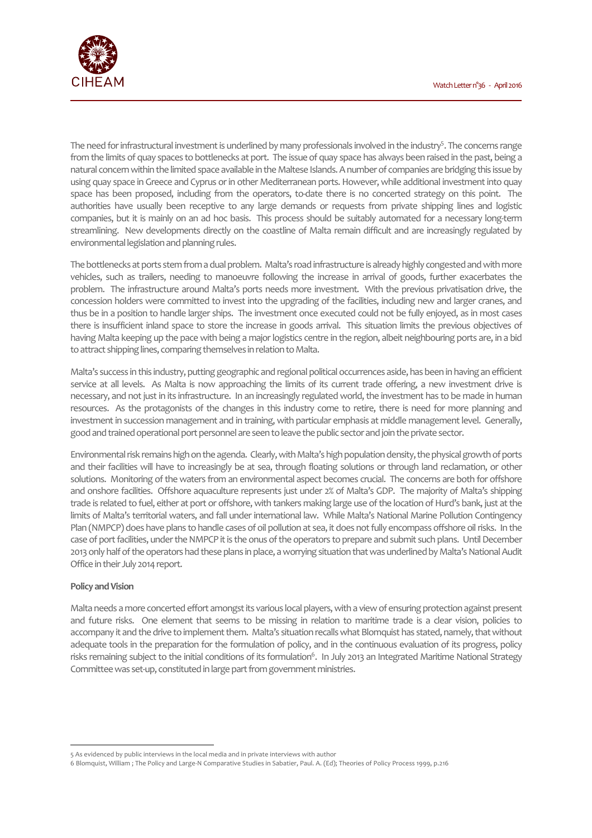

The need for infrastructural investment is underlined by many professionals involved in the industry<sup>5</sup>. The concerns range from the limits of quay spaces to bottlenecks at port. The issue of quay space has always been raised in the past, being a natural concern within the limited space available in the Maltese Islands. A number of companies are bridging this issue by using quay space in Greece and Cyprus or in other Mediterranean ports. However, while additional investment into quay space has been proposed, including from the operators, to-date there is no concerted strategy on this point. The authorities have usually been receptive to any large demands or requests from private shipping lines and logistic companies, but it is mainly on an ad hoc basis. This process should be suitably automated for a necessary long-term streamlining. New developments directly on the coastline of Malta remain difficult and are increasingly regulated by environmental legislation and planning rules.

The bottlenecks at ports stem from a dual problem. Malta's road infrastructure is already highly congested and with more vehicles, such as trailers, needing to manoeuvre following the increase in arrival of goods, further exacerbates the problem. The infrastructure around Malta's ports needs more investment. With the previous privatisation drive, the concession holders were committed to invest into the upgrading of the facilities, including new and larger cranes, and thus be in a position to handle larger ships. The investment once executed could not be fully enjoyed, as in most cases there is insufficient inland space to store the increase in goods arrival. This situation limits the previous objectives of having Malta keeping up the pace with being a major logistics centre in the region, albeit neighbouring ports are, in a bid to attract shipping lines, comparing themselves in relation to Malta.

Malta's success in this industry, putting geographic and regional political occurrences aside, has been in having an efficient service at all levels. As Malta is now approaching the limits of its current trade offering, a new investment drive is necessary, and not just in its infrastructure. In an increasingly regulated world, the investment has to be made in human resources. As the protagonists of the changes in this industry come to retire, there is need for more planning and investment in succession management and in training, with particular emphasis at middle management level. Generally, good and trained operational port personnel are seen to leave the public sector and join the private sector.

Environmental risk remains high on the agenda. Clearly, with Malta's high population density, the physical growth of ports and their facilities will have to increasingly be at sea, through floating solutions or through land reclamation, or other solutions. Monitoring of the waters from an environmental aspect becomes crucial. The concerns are both for offshore and onshore facilities. Offshore aquaculture represents just under 2% of Malta's GDP. The majority of Malta's shipping trade is related to fuel, either at port or offshore, with tankers making large use of the location of Hurd's bank, just at the limits of Malta's territorial waters, and fall under international law. While Malta's National Marine Pollution Contingency Plan (NMPCP) does have plans to handle cases of oil pollution at sea, it does not fully encompass offshore oil risks. In the case of port facilities, under the NMPCP it is the onus of the operators to prepare and submit such plans. Until December 2013 only half of the operators had these plans in place, a worrying situation that was underlined by Malta's National Audit Office in their July 2014 report.

### **Policy and Vision**

l

Malta needs a more concerted effort amongst its various local players, with a view of ensuring protection against present and future risks. One element that seems to be missing in relation to maritime trade is a clear vision, policies to accompany it and the drive to implement them. Malta's situation recalls what Blomquist has stated, namely, that without adequate tools in the preparation for the formulation of policy, and in the continuous evaluation of its progress, policy risks remaining subject to the initial conditions of its formulation<sup>6</sup>. In July 2013 an Integrated Maritime National Strategy Committee was set-up, constituted in large part from government ministries.

<sup>5</sup> As evidenced by public interviews in the local media and in private interviews with author

<sup>6</sup> Blomquist, William ; The Policy and Large-N Comparative Studies in Sabatier, Paul. A. (Ed); Theories of Policy Process 1999, p.216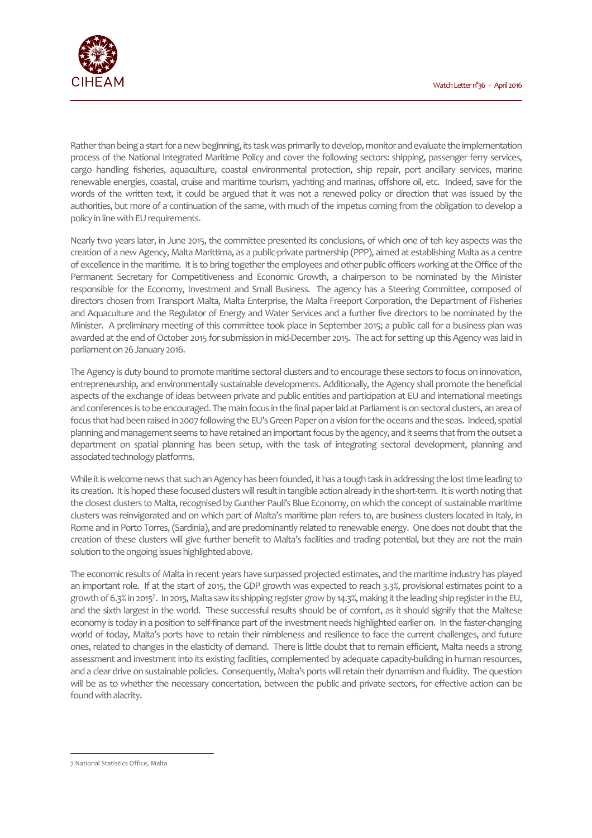

Rather than being a start for a new beginning, its task was primarily to develop, monitor and evaluate the implementation process of the National Integrated Maritime Policy and cover the following sectors: shipping, passenger ferry services, cargo handling fisheries, aquaculture, coastal environmental protection, ship repair, port ancillary services, marine renewable energies, coastal, cruise and maritime tourism, yachting and marinas, offshore oil, etc. Indeed, save for the words of the written text, it could be argued that it was not a renewed policy or direction that was issued by the authorities, but more of a continuation of the same, with much of the impetus coming from the obligation to develop a policy in line with EU requirements.

Nearly two years later, in June 2015, the committee presented its conclusions, of which one of teh key aspects was the creation of a new Agency, Malta Marittima, as a public-private partnership (PPP), aimed at establishing Malta as a centre of excellence in the maritime. It is to bring together the employees and other public officers working at the Office of the Permanent Secretary for Competitiveness and Economic Growth, a chairperson to be nominated by the Minister responsible for the Economy, Investment and Small Business. The agency has a Steering Committee, composed of directors chosen from Transport Malta, Malta Enterprise, the Malta Freeport Corporation, the Department of Fisheries and Aquaculture and the Regulator of Energy and Water Services and a further five directors to be nominated by the Minister. A preliminary meeting of this committee took place in September 2015; a public call for a business plan was awarded at the end of October 2015 for submission in mid-December 2015. The act for setting up this Agency was laid in parliament on 26 January 2016.

The Agency is duty bound to promote maritime sectoral clusters and to encourage these sectors to focus on innovation, entrepreneurship, and environmentally sustainable developments. Additionally, the Agency shall promote the beneficial aspects of the exchange of ideas between private and public entities and participation at EU and international meetings and conferences is to be encouraged. The main focus in the final paper laid at Parliament is on sectoral clusters, an area of focus that had been raised in 2007 following the EU's Green Paper on a vision for the oceans and the seas. Indeed, spatial planning and management seems to have retained an important focus by the agency, and it seems that from the outset a department on spatial planning has been setup, with the task of integrating sectoral development, planning and associated technology platforms.

While it is welcome news that such an Agency has been founded, it has a tough task in addressing the lost time leading to its creation. It is hoped these focused clusters will result in tangible action already in the short-term. It is worth noting that the closest clusters to Malta, recognised by Gunther Pauli's Blue Economy, on which the concept of sustainable maritime clusters was reinvigorated and on which part of Malta's maritime plan refers to, are business clusters located in Italy, in Rome and in Porto Torres, (Sardinia), and are predominantly related to renewable energy. One does not doubt that the creation of these clusters will give further benefit to Malta's facilities and trading potential, but they are not the main solution to the ongoing issues highlighted above.

The economic results of Malta in recent years have surpassed projected estimates, and the maritime industry has played an important role. If at the start of 2015, the GDP growth was expected to reach 3.3%, provisional estimates point to a growth of 6.3% in 2015<sup>7</sup>. In 2015, Malta saw its shipping register grow by 14.3%, making it the leading ship register in the EU, and the sixth largest in the world. These successful results should be of comfort, as it should signify that the Maltese economy is today in a position to self-finance part of the investment needs highlighted earlier on. In the faster-changing world of today, Malta's ports have to retain their nimbleness and resilience to face the current challenges, and future ones, related to changes in the elasticity of demand. There is little doubt that to remain efficient, Malta needs a strong assessment and investment into its existing facilities, complemented by adequate capacity-building in human resources, and a clear drive on sustainable policies. Consequently, Malta's ports will retain their dynamism and fluidity. The question will be as to whether the necessary concertation, between the public and private sectors, for effective action can be found with alacrity.

 $\overline{\phantom{a}}$ 

<sup>7</sup> National Statistics Office, Malta